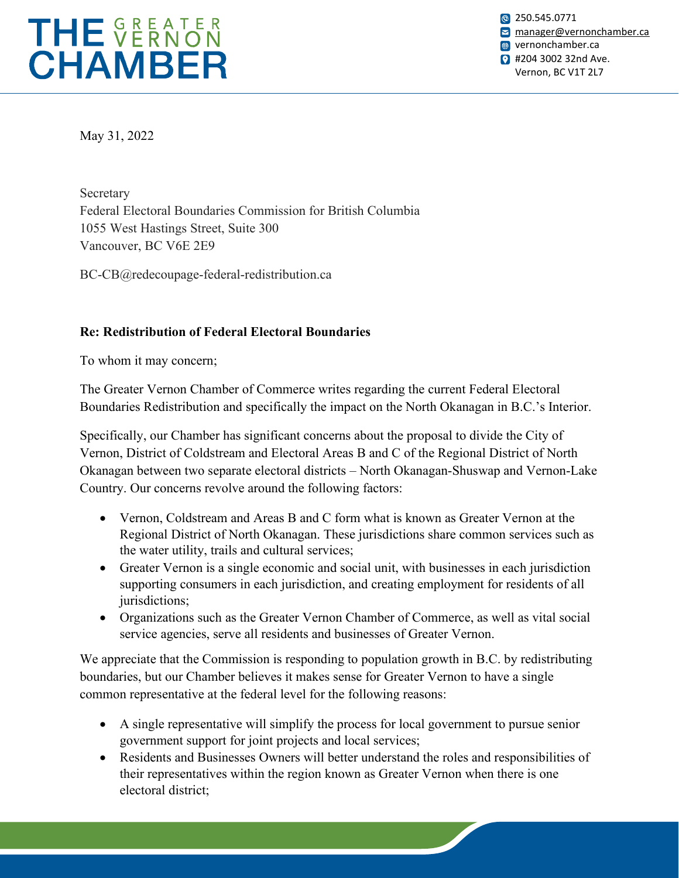

**8** 250.545.0771 [manager@vernonchamber.ca](mailto:manager@vernonchamber.ca) **wernonchamber.ca 2** #204 3002 32nd Ave. Vernon, BC V1T 2L7

May 31, 2022

Secretary Federal Electoral Boundaries Commission for British Columbia 1055 West Hastings Street, Suite 300 Vancouver, BC V6E 2E9

BC-CB@redecoupage-federal-redistribution.ca

## **Re: Redistribution of Federal Electoral Boundaries**

To whom it may concern;

The Greater Vernon Chamber of Commerce writes regarding the current Federal Electoral Boundaries Redistribution and specifically the impact on the North Okanagan in B.C.'s Interior.

Specifically, our Chamber has significant concerns about the proposal to divide the City of Vernon, District of Coldstream and Electoral Areas B and C of the Regional District of North Okanagan between two separate electoral districts – North Okanagan-Shuswap and Vernon-Lake Country. Our concerns revolve around the following factors:

- Vernon, Coldstream and Areas B and C form what is known as Greater Vernon at the Regional District of North Okanagan. These jurisdictions share common services such as the water utility, trails and cultural services;
- Greater Vernon is a single economic and social unit, with businesses in each jurisdiction supporting consumers in each jurisdiction, and creating employment for residents of all jurisdictions;
- Organizations such as the Greater Vernon Chamber of Commerce, as well as vital social service agencies, serve all residents and businesses of Greater Vernon.

We appreciate that the Commission is responding to population growth in B.C. by redistributing boundaries, but our Chamber believes it makes sense for Greater Vernon to have a single common representative at the federal level for the following reasons:

- A single representative will simplify the process for local government to pursue senior government support for joint projects and local services;
- Residents and Businesses Owners will better understand the roles and responsibilities of their representatives within the region known as Greater Vernon when there is one electoral district;